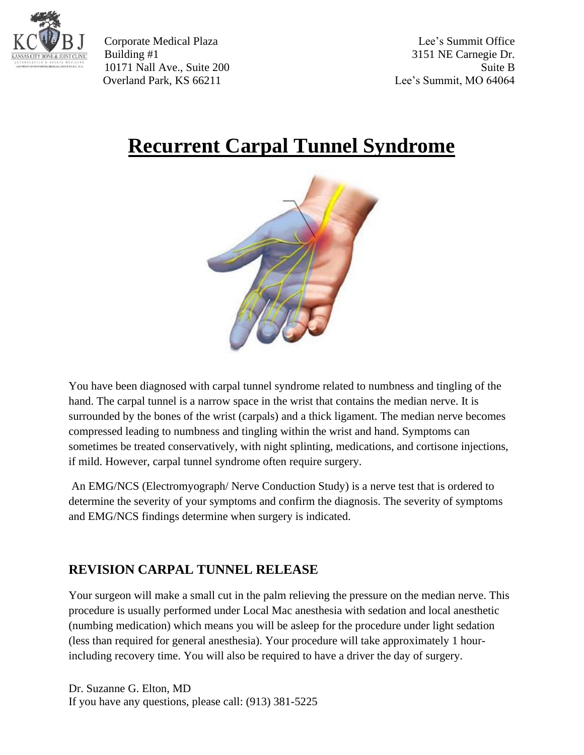

Corporate Medical Plaza Lee's Summit Office Building #1 3151 NE Carnegie Dr. 10171 Nall Ave., Suite 200 Suite B Overland Park, KS 66211 Lee's Summit, MO 64064

## **Recurrent Carpal Tunnel Syndrome**



You have been diagnosed with carpal tunnel syndrome related to numbness and tingling of the hand. The carpal tunnel is a narrow space in the wrist that contains the median nerve. It is surrounded by the bones of the wrist (carpals) and a thick ligament. The median nerve becomes compressed leading to numbness and tingling within the wrist and hand. Symptoms can sometimes be treated conservatively, with night splinting, medications, and cortisone injections, if mild. However, carpal tunnel syndrome often require surgery.

An EMG/NCS (Electromyograph/ Nerve Conduction Study) is a nerve test that is ordered to determine the severity of your symptoms and confirm the diagnosis. The severity of symptoms and EMG/NCS findings determine when surgery is indicated.

## **REVISION CARPAL TUNNEL RELEASE**

Your surgeon will make a small cut in the palm relieving the pressure on the median nerve. This procedure is usually performed under Local Mac anesthesia with sedation and local anesthetic (numbing medication) which means you will be asleep for the procedure under light sedation (less than required for general anesthesia). Your procedure will take approximately 1 hourincluding recovery time. You will also be required to have a driver the day of surgery.

Dr. Suzanne G. Elton, MD If you have any questions, please call: (913) 381-5225